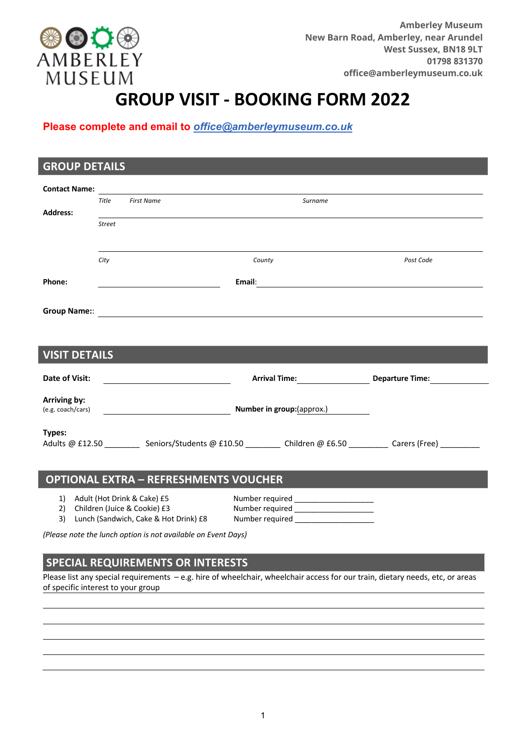

## **GROUP VISIT - BOOKING FORM 2022**

**Please complete and email to** *office@amberleymuseum.co.uk*

| <b>GROUP DETAILS</b> |               |                                              |                 |         |                                                                                                                                                                                                                                     |  |
|----------------------|---------------|----------------------------------------------|-----------------|---------|-------------------------------------------------------------------------------------------------------------------------------------------------------------------------------------------------------------------------------------|--|
|                      |               |                                              |                 |         |                                                                                                                                                                                                                                     |  |
|                      | Title         | <b>First Name</b>                            |                 | Surname |                                                                                                                                                                                                                                     |  |
| <b>Address:</b>      |               |                                              |                 |         |                                                                                                                                                                                                                                     |  |
|                      | <b>Street</b> |                                              |                 |         |                                                                                                                                                                                                                                     |  |
|                      |               |                                              |                 |         |                                                                                                                                                                                                                                     |  |
|                      | City          |                                              | County          |         | Post Code                                                                                                                                                                                                                           |  |
|                      |               |                                              |                 |         |                                                                                                                                                                                                                                     |  |
| Phone:               |               |                                              |                 |         | Email: <b>Example 2008</b> and 2008 and 2008 and 2008 and 2008 and 2008 and 2008 and 2008 and 2008 and 2008 and 2008 and 2008 and 2008 and 2008 and 2008 and 2008 and 2008 and 2008 and 2008 and 2008 and 2008 and 2008 and 2008 an |  |
|                      |               |                                              |                 |         |                                                                                                                                                                                                                                     |  |
|                      |               |                                              |                 |         |                                                                                                                                                                                                                                     |  |
|                      |               |                                              |                 |         |                                                                                                                                                                                                                                     |  |
| <b>VISIT DETAILS</b> |               |                                              |                 |         |                                                                                                                                                                                                                                     |  |
|                      |               |                                              |                 |         |                                                                                                                                                                                                                                     |  |
| Date of Visit:       |               |                                              |                 |         | Arrival Time: Departure Time: Departure Community Proportional Proportional Proportional Proportional Proportio                                                                                                                     |  |
| Arriving by:         |               |                                              |                 |         |                                                                                                                                                                                                                                     |  |
|                      |               |                                              |                 |         |                                                                                                                                                                                                                                     |  |
|                      |               |                                              |                 |         |                                                                                                                                                                                                                                     |  |
| Types:               |               |                                              |                 |         | Adults @ £12.50 ___________ Seniors/Students @ £10.50 _________ Children @ £6.50 _________ Carers (Free) _________                                                                                                                  |  |
|                      |               |                                              |                 |         |                                                                                                                                                                                                                                     |  |
|                      |               |                                              |                 |         |                                                                                                                                                                                                                                     |  |
|                      |               | <b>OPTIONAL EXTRA - REFRESHMENTS VOUCHER</b> |                 |         |                                                                                                                                                                                                                                     |  |
|                      |               | 1) Adult (Hot Drink & Cake) £5               | Number required |         |                                                                                                                                                                                                                                     |  |

2) Children (Juice & Cookie) £3 Number required 3) Lunch (Sandwich, Cake & Hot Drink) £8 Number required

*(Please note the lunch option is not available on Event Days)*

## **SPECIAL REQUIREMENTS OR INTERESTS**

Please list any special requirements – e.g. hire of wheelchair, wheelchair access for our train, dietary needs, etc, or areas of specific interest to your group